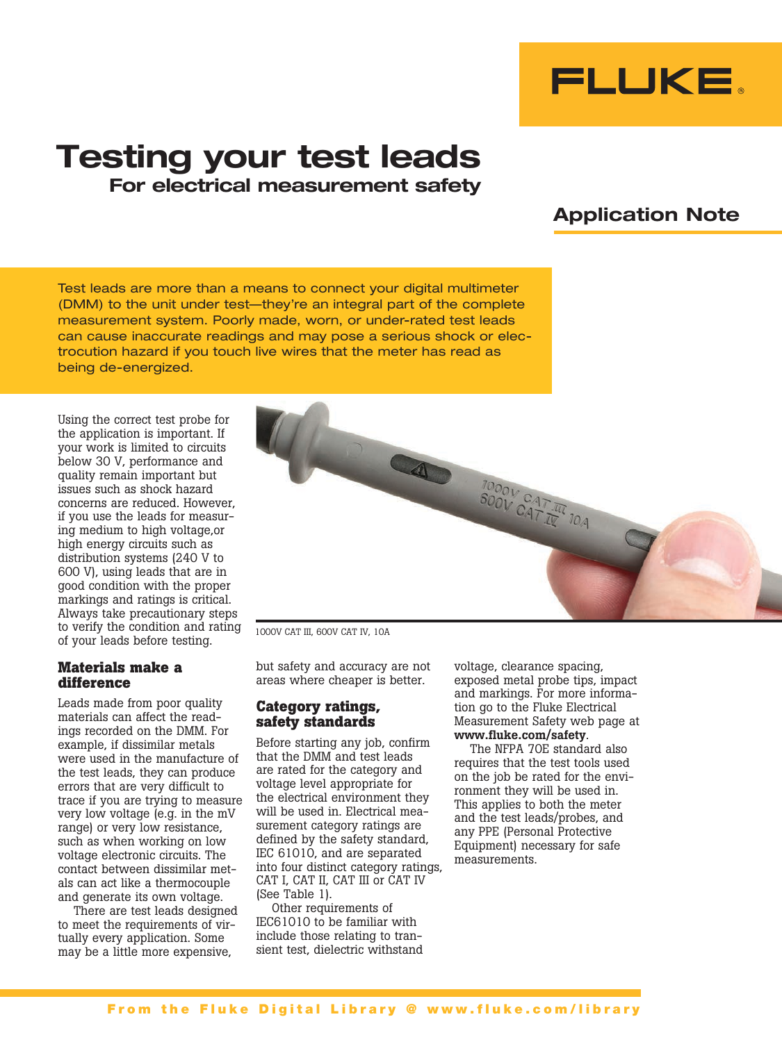

# Testing your test leads For electrical measurement safety

# Application Note

Test leads are more than a means to connect your digital multimeter (DMM) to the unit under test—they're an integral part of the complete measurement system. Poorly made, worn, or under-rated test leads can cause inaccurate readings and may pose a serious shock or electrocution hazard if you touch live wires that the meter has read as being de-energized.

Using the correct test probe for the application is important. If your work is limited to circuits below 30 V, performance and quality remain important but issues such as shock hazard concerns are reduced. However, if you use the leads for measuring medium to high voltage,or high energy circuits such as distribution systems (240 V to 600 V), using leads that are in good condition with the proper markings and ratings is critical. Always take precautionary steps to verify the condition and rating of your leads before testing.

#### **Materials make a difference**

Leads made from poor quality materials can affect the readings recorded on the DMM. For example, if dissimilar metals were used in the manufacture of the test leads, they can produce errors that are very difficult to trace if you are trying to measure very low voltage (e.g. in the mV range) or very low resistance, such as when working on low voltage electronic circuits. The contact between dissimilar metals can act like a thermocouple and generate its own voltage.

There are test leads designed to meet the requirements of virtually every application. Some may be a little more expensive,



1000V CAT III, 600V CAT IV, 10A

but safety and accuracy are not areas where cheaper is better.

#### **Category ratings, safety standards**

Before starting any job, confirm that the DMM and test leads are rated for the category and voltage level appropriate for the electrical environment they will be used in. Electrical measurement category ratings are defined by the safety standard, IEC 61010, and are separated into four distinct category ratings, CAT I, CAT II, CAT III or CAT IV (See Table 1).

Other requirements of IEC61010 to be familiar with include those relating to transient test, dielectric withstand voltage, clearance spacing, exposed metal probe tips, impact and markings. For more information go to the Fluke Electrical Measurement Safety web page at www.fluke.com/safety.

The NFPA 70E standard also requires that the test tools used on the job be rated for the environment they will be used in. This applies to both the meter and the test leads/probes, and any PPE (Personal Protective Equipment) necessary for safe measurements.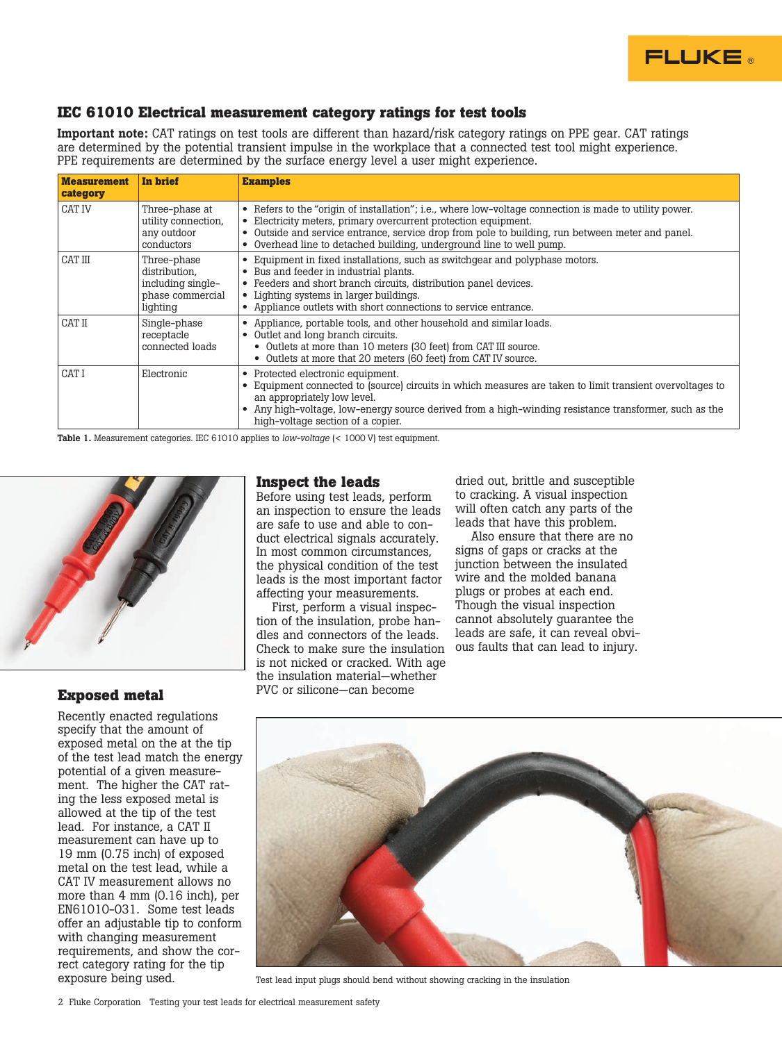

### **IEC 61010 Electrical measurement category ratings for test tools**

Important note: CAT ratings on test tools are different than hazard/risk category ratings on PPE gear. CAT ratings are determined by the potential transient impulse in the workplace that a connected test tool might experience. PPE requirements are determined by the surface energy level a user might experience.

| <b>Measurement</b><br>category | In brief                                                                          | <b>Examples</b>                                                                                                                                                                                                                                                                                                                                                           |
|--------------------------------|-----------------------------------------------------------------------------------|---------------------------------------------------------------------------------------------------------------------------------------------------------------------------------------------------------------------------------------------------------------------------------------------------------------------------------------------------------------------------|
| CAT IV                         | Three-phase at<br>utility connection.<br>any outdoor<br>conductors                | • Refers to the "origin of installation"; i.e., where low-voltage connection is made to utility power.<br>Electricity meters, primary overcurrent protection equipment.<br>Outside and service entrance, service drop from pole to building, run between meter and panel.<br>$\bullet$<br>Overhead line to detached building, underground line to well pump.<br>$\bullet$ |
| CAT III                        | Three-phase<br>distribution,<br>including single-<br>phase commercial<br>lighting | • Equipment in fixed installations, such as switchgear and polyphase motors.<br>Bus and feeder in industrial plants.<br>٠<br>• Feeders and short branch circuits, distribution panel devices.<br>Lighting systems in larger buildings.<br>• Appliance outlets with short connections to service entrance.                                                                 |
| CAT II                         | Single-phase<br>receptacle<br>connected loads                                     | Appliance, portable tools, and other household and similar loads.<br>٠<br>Outlet and long branch circuits.<br>• Outlets at more than 10 meters (30 feet) from CAT III source.<br>• Outlets at more that 20 meters (60 feet) from CAT IV source.                                                                                                                           |
| CAT I                          | Electronic                                                                        | • Protected electronic equipment.<br>Equipment connected to (source) circuits in which measures are taken to limit transient overvoltages to<br>an appropriately low level.<br>Any high-voltage, low-energy source derived from a high-winding resistance transformer, such as the<br>٠<br>high-voltage section of a copier.                                              |

Table 1. Measurement categories. IEC 61010 applies to *low-voltage* (< 1000 V) test equipment.



#### **Exposed metal**

Recently enacted regulations specify that the amount of exposed metal on the at the tip of the test lead match the energy potential of a given measurement. The higher the CAT rating the less exposed metal is allowed at the tip of the test lead. For instance, a CAT II measurement can have up to 19 mm (0.75 inch) of exposed metal on the test lead, while a CAT IV measurement allows no more than 4 mm (0.16 inch), per EN61010-031. Some test leads offer an adjustable tip to conform with changing measurement requirements, and show the correct category rating for the tip exposure being used.

#### **Inspect the leads**

Before using test leads, perform an inspection to ensure the leads are safe to use and able to conduct electrical signals accurately. In most common circumstances, the physical condition of the test leads is the most important factor affecting your measurements.

First, perform a visual inspection of the insulation, probe handles and connectors of the leads. Check to make sure the insulation is not nicked or cracked. With age the insulation material—whether PVC or silicone—can become

dried out, brittle and susceptible to cracking. A visual inspection will often catch any parts of the leads that have this problem.

Also ensure that there are no signs of gaps or cracks at the junction between the insulated wire and the molded banana plugs or probes at each end. Though the visual inspection cannot absolutely guarantee the leads are safe, it can reveal obvious faults that can lead to injury.



Test lead input plugs should bend without showing cracking in the insulation